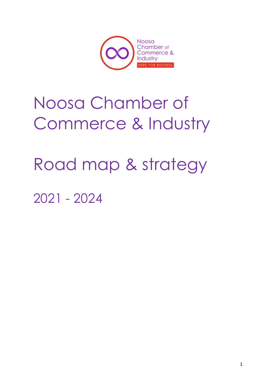

# Noosa Chamber of Commerce & Industry

# Road map & strategy

2021 - 2024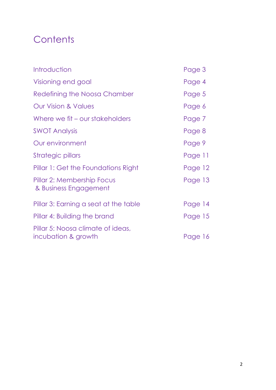# **Contents**

| Introduction                                             | Page 3  |
|----------------------------------------------------------|---------|
| Visioning end goal                                       | Page 4  |
| Redefining the Noosa Chamber                             | Page 5  |
| <b>Our Vision &amp; Values</b>                           | Page 6  |
| Where we fit – our stakeholders                          | Page 7  |
| <b>SWOT Analysis</b>                                     | Page 8  |
| Our environment                                          | Page 9  |
| Strategic pillars                                        | Page 11 |
| Pillar 1: Get the Foundations Right                      | Page 12 |
| Pillar 2: Membership Focus<br>& Business Engagement      | Page 13 |
| Pillar 3: Earning a seat at the table                    | Page 14 |
| Pillar 4: Building the brand                             | Page 15 |
| Pillar 5: Noosa climate of ideas,<br>incubation & growth | Page 16 |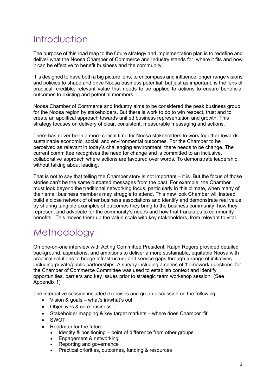### Introduction

The purpose of this road map to the future strategy and implementation plan is to redefine and deliver what the Noosa Chamber of Commerce and Industry stands for, where it fits and how it can be effective to benefit business and the community.

It is designed to have both a big picture lens, to encompass and influence longer range visions and policies to shape and drive Noosa business potential, but just as important, is the lens of practical, credible, relevant value that needs to be applied to actions to ensure beneficial outcomes to existing and potential members.

Noosa Chamber of Commerce and Industry aims to be considered the peak business group for the Noosa region by stakeholders. But there is work to do to win respect, trust and to create an apolitical approach towards unified business representation and growth. This strategy focuses on delivery of clear, consistent, measurable messaging and actions.

There has never been a more critical time for Noosa stakeholders to work together towards sustainable economic, social, and environmental outcomes. For the Chamber to be perceived as relevant in today's challenging environment, there needs to be change. The current committee recognises the need for change and is committed to an inclusive, collaborative approach where actions are favoured over words. To demonstrate leadership, without talking about leading.

That is not to say that telling the Chamber story is not important – it is. But the focus of those stories can't be the same outdated messages from the past. For example, the Chamber must look beyond the traditional networking focus, particularly in this climate, when many of their small business members may struggle to attend. This new look Chamber will instead build a close network of other business associations and identify and demonstrate real value by sharing tangible examples of outcomes they bring to the business community, how they represent and advocate for the community's needs and how that translates to community benefits. This moves them up the value scale with key stakeholders, from relevant to vital.

### Methodology

On one-on-one interview with Acting Committee President, Ralph Rogers provided detailed background, aspirations, and ambitions to deliver a more sustainable, equitable Noosa with practical solutions to bridge infrastructure and service gaps through a range of initiatives including private/public partnerships. A survey including a series of 'homework questions' for the Chamber of Commerce Committee was used to establish context and identify opportunities, barriers and key issues prior to strategic team workshop session. (See Appendix 1)

The interactive session included exercises and group discussion on the following:

- Vision & goals what's in/what's out
- Objectives & core business
- Stakeholder mapping & key target markets where does Chamber 'fit'
- SWOT
- Roadmap for the future:
	- Identity & positioning point of difference from other groups
	- Engagement & networking
	- Reporting and governance
	- Practical priorities, outcomes, funding & resources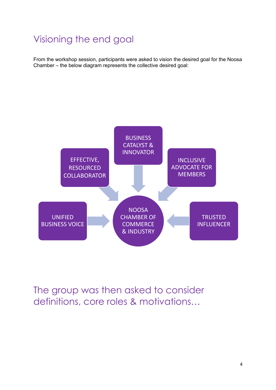# Visioning the end goal

From the workshop session, participants were asked to vision the desired goal for the Noosa Chamber – the below diagram represents the collective desired goal:



The group was then asked to consider definitions, core roles & motivations…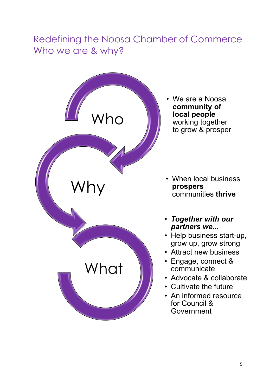# Redefining the Noosa Chamber of Commerce Who we are & why?



• We are a Noosa **community of local people**  working together to grow & prosper

- When local business<br>prospers
- *Together with our partners we...*
- Help business start-up, grow up, grow strong
- Attract new business
- Engage, connect & communicate
- Advocate & collaborate
- Cultivate the future
- An informed resource for Council & **Government**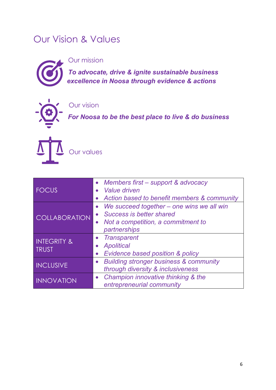### Our Vision & Values



Our mission

*To advocate, drive & ignite sustainable business excellence in Noosa through evidence & actions*

Our vision

*For Noosa to be the best place to live & do business*



Our values

|                        | • Members first – support & advocacy              |  |  |  |
|------------------------|---------------------------------------------------|--|--|--|
| <b>FOCUS</b>           | Value driven                                      |  |  |  |
|                        | Action based to benefit members & community       |  |  |  |
|                        | We succeed together – one wins we all win         |  |  |  |
| <b>COLLABORATION</b>   | <b>Success is better shared</b>                   |  |  |  |
|                        | Not a competition, a commitment to                |  |  |  |
|                        | partnerships                                      |  |  |  |
| <b>INTEGRITY &amp;</b> | • Transparent                                     |  |  |  |
| <b>TRUST</b>           | <b>Apolitical</b>                                 |  |  |  |
|                        | Evidence based position & policy<br>$\bullet$     |  |  |  |
| <b>INCLUSIVE</b>       | <b>Building stronger business &amp; community</b> |  |  |  |
|                        | through diversity & inclusiveness                 |  |  |  |
| <b>INNOVATION</b>      | • Champion innovative thinking & the              |  |  |  |
|                        | entrepreneurial community                         |  |  |  |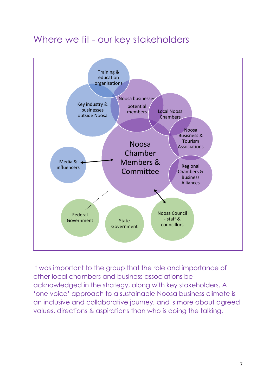### Where we fit - our key stakeholders



It was important to the group that the role and importance of other local chambers and business associations be acknowledged in the strategy, along with key stakeholders. A 'one voice' approach to a sustainable Noosa business climate is an inclusive and collaborative journey, and is more about agreed values, directions & aspirations than who is doing the talking.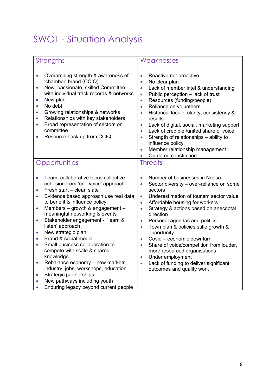# SWOT - Situation Analysis

| <b>Strengths</b>                                                                                                                                                                                                                                                                                                                                                                                                                                                                                                                                                                                                                                                                                                                                              | Weaknesses                                                                                                                                                                                                                                                                                                                                                                                                                                                                                                                                                                                                                                                        |
|---------------------------------------------------------------------------------------------------------------------------------------------------------------------------------------------------------------------------------------------------------------------------------------------------------------------------------------------------------------------------------------------------------------------------------------------------------------------------------------------------------------------------------------------------------------------------------------------------------------------------------------------------------------------------------------------------------------------------------------------------------------|-------------------------------------------------------------------------------------------------------------------------------------------------------------------------------------------------------------------------------------------------------------------------------------------------------------------------------------------------------------------------------------------------------------------------------------------------------------------------------------------------------------------------------------------------------------------------------------------------------------------------------------------------------------------|
| Overarching strength & awareness of<br>$\bullet$<br>'chamber' brand (CCIQ)<br>New, passionate, skilled Committee<br>$\bullet$<br>with individual track records & networks<br>New plan<br>$\bullet$<br>No debt<br>$\bullet$<br>Growing relationships & networks<br>$\bullet$<br>Relationships with key stakeholders<br>$\bullet$<br>Broad representation of sectors on<br>$\bullet$<br>committee<br>Resource back up from CCIQ                                                                                                                                                                                                                                                                                                                                 | Reactive not proactive<br>$\bullet$<br>No clear plan<br>$\bullet$<br>Lack of member intel & understanding<br>$\bullet$<br>Public perception - lack of trust<br>$\bullet$<br>Resources (funding/people)<br>$\bullet$<br>Reliance on volunteers<br>$\bullet$<br>Historical lack of clarity, consistency &<br>$\bullet$<br>results<br>Lack of digital, social, marketing support<br>$\bullet$<br>Lack of credible /united share of voice<br>$\bullet$<br>Strength of relationships - ability to<br>$\bullet$<br>influence policy<br>Member relationship management<br>$\bullet$<br>Outdated constitution                                                             |
| Opportunities                                                                                                                                                                                                                                                                                                                                                                                                                                                                                                                                                                                                                                                                                                                                                 | <b>Threats</b>                                                                                                                                                                                                                                                                                                                                                                                                                                                                                                                                                                                                                                                    |
| Team, collaborative focus collective<br>$\bullet$<br>cohesion from 'one voice' approach<br>Fresh start - clean slate<br>$\bullet$<br>Evidence based approach use real data<br>$\bullet$<br>to benefit & influence policy<br>Members - growth & engagement -<br>$\bullet$<br>meaningful networking & events<br>Stakeholder engagement - 'learn &<br>$\bullet$<br>listen' approach<br>New strategic plan<br>$\bullet$<br>Brand & social media<br>$\bullet$<br>Small business collaboration to<br>$\bullet$<br>compete with scale & shared<br>knowledge<br>Rebalance economy - new markets,<br>$\bullet$<br>industry, jobs, workshops, education<br>Strategic partnerships<br>$\bullet$<br>New pathways including youth<br>Enduring legacy beyond current people | Number of businesses in Noosa<br>$\bullet$<br>Sector diversity - over-reliance on some<br>$\bullet$<br>sectors<br>Underestimation of tourism sector value<br>$\bullet$<br>Affordable housing for workers<br>$\bullet$<br>Strategy & actions based on anecdotal<br>$\bullet$<br>direction<br>Personal agendas and politics<br>$\bullet$<br>Town plan & policies stifle growth &<br>$\bullet$<br>opportunity<br>Covid - economic downturn<br>$\bullet$<br>Share of voice/competition from louder,<br>$\bullet$<br>more resourced organisations<br>Under employment<br>$\bullet$<br>Lack of funding to deliver significant<br>$\bullet$<br>outcomes and quality work |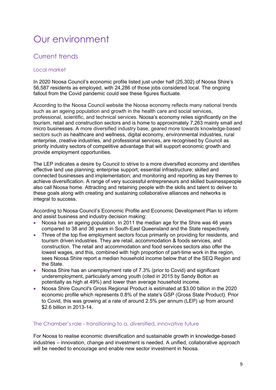# Our environment

### Current trends

#### Local market

In 2020 Noosa Council's economic profile listed just under half (25,302) of Noosa Shire's 56,587 residents as employed, with 24,286 of those jobs considered local. The ongoing fallout from the Covid pandemic could see these figures fluctuate.

According to the Noosa Council website the Noosa economy reflects many national trends such as an ageing population and growth in the health care and social services, professional, scientific, and technical services. Noosa's economy relies significantly on the tourism, retail and construction sectors and is home to approximately 7,263 mainly small and micro businesses. A more diversified industry base, geared more towards knowledge-based sectors such as healthcare and wellness, digital economy, environmental industries, rural enterprise, creative industries, and professional services, are recognised by Council as priority industry sectors of competitive advantage that will support economic growth and provide employment opportunities.

The LEP indicates a desire by Council to strive to a more diversified economy and identifies effective land use planning; enterprise support; essential infrastructure; skilled and connected businesses and implementation; and monitoring and reporting as key themes to achieve diversification. A range of very successful entrepreneurs and skilled businesspeople also call Noosa home. Attracting and retaining people with the skills and talent to deliver to these goals along with creating and sustaining collaborative alliances and networks is integral to success.

According to Noosa Council's Economic Profile and Economic Development Plan to inform and assist business and industry decision making:

- Noosa has an ageing population. In 2011 the median age for the Shire was 46 years compared to 38 and 36 years in South-East Queensland and the State respectively.
- Three of the top five employment sectors focus primarily on providing for residents, and tourism driven industries. They are retail, accommodation & foods services, and construction. The retail and accommodation and food services sectors also offer the lowest wages, and this, combined with high proportion of part-time work in the region, sees Noosa Shire report a median household income below that of the SEQ Region and the State.
- Noosa Shire has an unemployment rate of 7.3% (prior to Covid) and significant underemployment, particularly among youth (cited in 2015 by Sandy Bolton as potentially as high at 49%) and lower than average household income.
- Noosa Shire Council's Gross Regional Product is estimated at \$3.00 billion in the 2020 economic profile which represents 0.8% of the state's GSP (Gross State Product). Prior to Covid, this was growing at a rate of around 2.5% per annum (LEP) up from around \$2.6 billion in 2013-14.

#### The Chamber's role - transitioning to a, diversified, innovative future

For Noosa to realise economic diversification and sustainable growth in knowledge-based industries – innovation, change and investment is needed. A unified, collaborative approach will be needed to encourage and enable new sector investment in Noosa.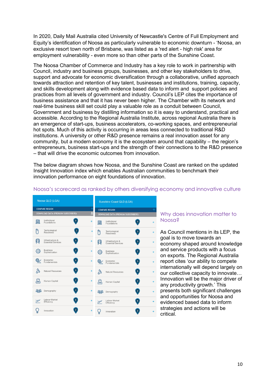In 2020, Daily Mail Australia cited University of Newcastle's Centre of Full Employment and Equity's identification of Noosa as particularly vulnerable to economic downturn - 'Noosa, an exclusive resort town north of Brisbane, was listed as a 'red alert - high risk' area for employment vulnerability - even more so than other parts of the Sunshine Coast.

The Noosa Chamber of Commerce and Industry has a key role to work in partnership with Council, industry and business groups, businesses, and other key stakeholders to drive, support and advocate for economic diversification through a collaborative, unified approach towards attraction and retention of key talent, businesses and institutions, training, capacity, and skills development along with evidence based data to inform and support policies and practices from all levels of government and industry. Council's LEP cites the importance of business assistance and that it has never been higher. The Chamber with its network and real-time business skill set could play a valuable role as a conduit between Council, Government and business by distilling information so it is easy to understand, practical and accessible. According to the Regional Australia Institute, across regional Australia there is an emergence of start-ups, business accelerators, co-working spaces, and entrepreneurial hot spots. Much of this activity is occurring in areas less connected to traditional R&D institutions. A university or other R&D presence remains a real innovation asset for any community, but a modern economy it is the ecosystem around that capability – the region's entrepreneurs, business start-ups and the strength of their connections to the R&D presence – that will drive the economic outcomes from innovation.

The below diagram shows how Noosa, and the Sunshine Coast are ranked on the updated Insight Innovation index which enables Australian communities to benchmark their innovation performance on eight foundations of innovation.

| Noosa QLD (LGA)                                                 |   | <b>Sunshine Coast QLD (LGA)</b>                                    |  |
|-----------------------------------------------------------------|---|--------------------------------------------------------------------|--|
| <b>COMPARE REGION</b>                                           |   | <b>COMPARE REGION</b>                                              |  |
| DOWNLOAD DATA (PREMIUM SUBSCRIBERS)                             | U | DOWNLOAD DATA (PREMIUM SUBSCRIBERS)                                |  |
| Institutional<br>9<br>嚻<br>Foundations                          |   | Institutional<br>$5\phantom{.0}$<br>嚻<br>Foundations               |  |
| r<br>Technological<br>3 <sup>1</sup><br>Readiness               | + | ጦ<br>Technological<br>$\overline{\mathbf{3}}$<br>Readiness         |  |
| Infrastructure &<br>5 <sub>1</sub><br><b>Essential Services</b> |   | Infrastructure &<br>呉<br>$\mathbf{3}$<br><b>Essential Services</b> |  |
| <b>Business</b><br>2<br>ದಿ<br>Sophistication                    |   | <b>Business</b><br>$\boxed{2}$<br>{ <u>O</u><br>Sophistication     |  |
| Economic<br>6<br>Fundamentals                                   | ÷ | Economic<br>$\boxed{3}$<br>Fundamentals                            |  |
| 88<br>9<br>Natural Resources                                    | ÷ | 88<br>$\bf{8}$<br>Natural Resources                                |  |
| 2 <sup>1</sup><br>Human Capital                                 |   | $\overline{2}$<br>Human Capital                                    |  |
| 4<br>83<br>Demography                                           |   | $\overline{2}$<br>88<br>Demography                                 |  |
| Labour Market<br>6<br>$\mathcal{N}$<br>Efficiency               |   | Labour Market<br>6<br>$\mathcal{N}$<br>Efficiency                  |  |
| $\overline{2}$<br>Innovation                                    |   | $\overline{2}$<br>Innovation                                       |  |

#### Noosa's scorecard as ranked by others diversifying economy and innovative culture

#### Why does innovation matter to Noosa?

As Council mentions in its LEP, the goal is to move towards an economy shaped around knowledge and service products with a focus on exports. The Regional Australia report cites 'our ability to compete internationally will depend largely on our collective capacity to innovate… Innovation will be the major driver of any productivity growth.' This presents both significant challenges and opportunities for Noosa and evidenced based data to inform strategies and actions will be critical.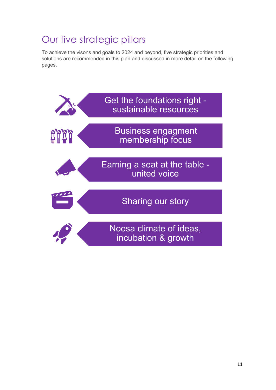# Our five strategic pillars

To achieve the visons and goals to 2024 and beyond, five strategic priorities and solutions are recommended in this plan and discussed in more detail on the following pages.

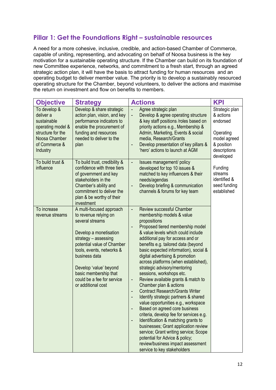### **Pillar 1: Get the Foundations Right – sustainable resources**

A need for a more cohesive, inclusive, credible, and action-based Chamber of Commerce, capable of uniting, representing, and advocating on behalf of Noosa business is the key motivation for a sustainable operating structure. If the Chamber can build on its foundation of new Committee experience, networks, and commitment to a fresh start, through an agreed strategic action plan, it will have the basis to attract funding for human resources and an operating budget to deliver member value. The priority is to develop a sustainably resourced operating structure for the Chamber, beyond volunteers, to deliver the actions and maximise the return on investment and flow on benefits to members.

| <b>Objective</b>                                                                                                                 | <b>Strategy</b>                                                                                                                                                                                                                                                                                           | <b>Actions</b>                                                                                                                                                                                                                                                                                                                                                                                                                                                                                                                                                                                                                                                                                                                                                                                                                                                                                                                                             | <b>KPI</b>                                                                                                      |
|----------------------------------------------------------------------------------------------------------------------------------|-----------------------------------------------------------------------------------------------------------------------------------------------------------------------------------------------------------------------------------------------------------------------------------------------------------|------------------------------------------------------------------------------------------------------------------------------------------------------------------------------------------------------------------------------------------------------------------------------------------------------------------------------------------------------------------------------------------------------------------------------------------------------------------------------------------------------------------------------------------------------------------------------------------------------------------------------------------------------------------------------------------------------------------------------------------------------------------------------------------------------------------------------------------------------------------------------------------------------------------------------------------------------------|-----------------------------------------------------------------------------------------------------------------|
| To develop &<br>deliver a<br>sustainable<br>operating model &<br>structure for the<br>Noosa Chamber<br>of Commerce &<br>Industry | Develop & share strategic<br>action plan, vision, and key<br>performance indicators to<br>enable the procurement of<br>funding and resources<br>needed to deliver to the<br>plan                                                                                                                          | Agree strategic plan<br>Develop & agree operating structure<br>$\overline{\phantom{0}}$<br>& key staff positions /roles based on<br>priority actions e.g., Membership &<br>Admin, Marketing, Events & social<br>media, Research/Grants<br>Develop presentation of key pillars &<br>'hero' actions to launch at AGM                                                                                                                                                                                                                                                                                                                                                                                                                                                                                                                                                                                                                                         | Strategic plan<br>& actions<br>endorsed<br>Operating<br>model agreed<br>& position<br>descriptions<br>developed |
| To build trust &<br>influence                                                                                                    | To build trust, credibility &<br>confidence with three tiers<br>of government and key<br>stakeholders in the<br>Chamber's ability and<br>commitment to deliver the<br>plan & be worthy of their<br>investment                                                                                             | Issues management/ policy<br>developed for top 10 issues &<br>matched to key influencers & their<br>needs/agendas<br>Develop briefing & communication<br>channels & forums for key team                                                                                                                                                                                                                                                                                                                                                                                                                                                                                                                                                                                                                                                                                                                                                                    | Funding<br>streams<br>identified &<br>seed funding<br>established                                               |
| To increase<br>revenue streams                                                                                                   | A multi-focused approach<br>to revenue relying on<br>several streams<br>Develop a monetisation<br>strategy - assessing<br>potential value of Chamber<br>tools, events, networks &<br>business data<br>Develop 'value' beyond<br>basic membership that<br>could be a fee for service<br>or additional cost | <b>Review successful Chamber</b><br>membership models & value<br>propositions<br>Proposed tiered membership model<br>& value levels which could include<br>additional pay for access and or<br>benefits e.g. tailored data (beyond<br>basic expected information), social &<br>digital advertising & promotion<br>across platforms (when established),<br>strategic advisory/mentoring<br>sessions, workshops etc.<br>Review available grants & match to<br>-<br>Chamber plan & actions<br><b>Contract Research/Grants Writer</b><br>$\qquad \qquad \blacksquare$<br>Identify strategic partners & shared<br>value opportunities e.g., workspace<br>Based on agreed core business<br>criteria, develop fee for services e.g.<br>Identification & matching grants to<br>businesses; Grant application review<br>service; Grant writing service; Scope<br>potential for Advice & policy;<br>review/business impact assessment<br>service to key stakeholders |                                                                                                                 |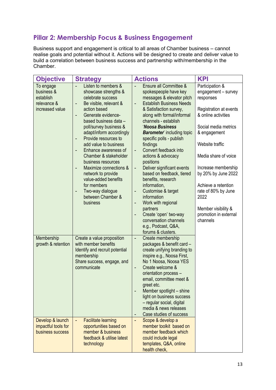### **Pillar 2: Membership Focus & Business Engagement**

Business support and engagement is critical to all areas of Chamber business – cannot realise goals and potential without it. Actions will be designed to create and deliver value to build a correlation between business success and partnership with/membership in the Chamber.

| <b>Objective</b>                                                                                | <b>Strategy</b>                                                                                                                                                                                                                                                                                                                                                                                                                                                                                                                      | <b>Actions</b>                                                                                                                                                                                                                                                                                                                                                                                                                                                                                                                                                                                                                                                                                           | <b>KPI</b>                                                                                                                                                                                                                                                                                                                                              |
|-------------------------------------------------------------------------------------------------|--------------------------------------------------------------------------------------------------------------------------------------------------------------------------------------------------------------------------------------------------------------------------------------------------------------------------------------------------------------------------------------------------------------------------------------------------------------------------------------------------------------------------------------|----------------------------------------------------------------------------------------------------------------------------------------------------------------------------------------------------------------------------------------------------------------------------------------------------------------------------------------------------------------------------------------------------------------------------------------------------------------------------------------------------------------------------------------------------------------------------------------------------------------------------------------------------------------------------------------------------------|---------------------------------------------------------------------------------------------------------------------------------------------------------------------------------------------------------------------------------------------------------------------------------------------------------------------------------------------------------|
| To engage<br>business &<br>establish<br>relevance &<br>increased value                          | Listen to members &<br>showcase strengths &<br>celebrate success<br>Be visible, relevant &<br>-<br>action based<br>Generate evidence-<br>÷,<br>based business data -<br>poll/survey business &<br>adapt/inform accordingly<br>Provide resources to<br>-<br>add value to business<br>Enhance awareness of<br>$\overline{\phantom{0}}$<br>Chamber & stakeholder<br>business resources<br>Maximize connections &<br>-<br>network to provide<br>value-added benefits<br>for members<br>Two-way dialogue<br>between Chamber &<br>business | Ensure all Committee &<br>spokespeople have key<br>messages & elevator pitch<br><b>Establish Business Needs</b><br>$\overline{\phantom{a}}$<br>& Satisfaction survey,<br>along with formal/informal<br>channels - establish<br>'Noosa Business<br><b>Barometer'</b> including topic<br>specific polls - publish<br>findings<br>Convert feedback into<br>$\overline{\phantom{a}}$<br>actions & advocacy<br>positions<br>Deliver significant events<br>$\qquad \qquad -$<br>based on feedback, tiered<br>benefits, research<br>information,<br>Customise & target<br>٠<br>information<br>Work with regional<br>-<br>partners<br>Create 'open' two-way<br>$\overline{\phantom{a}}$<br>conversation channels | Participation &<br>engagement - survey<br>responses<br>Registration at events<br>& online activities<br>Social media metrics<br>& engagement<br>Website traffic<br>Media share of voice<br>Increase membership<br>by 20% by June 2022<br>Achieve a retention<br>rate of 80% by June<br>2022<br>Member visibility &<br>promotion in external<br>channels |
| Membership<br>growth & retention<br>Develop & launch<br>impactful tools for<br>business success | Create a value proposition<br>with member benefits<br>Identify and recruit potential<br>membership<br>Share success, engage, and<br>communicate<br><b>Facilitate learning</b><br>opportunities based on<br>member & business                                                                                                                                                                                                                                                                                                         | e.g., Podcast, Q&A,<br>forums & clusters.<br>Create membership<br>$\overline{\phantom{0}}$<br>packages & benefit card -<br>create unifying branding to<br>inspire e.g., Noosa First,<br>No 1 Noosa, Noosa YES<br>Create welcome &<br>$\overline{\phantom{a}}$<br>orientation process -<br>email, committee meet &<br>greet etc.<br>Member spotlight - shine<br>light on business success<br>- regular social, digital<br>media & news releases<br>Case studies of success<br>٠<br>Scope & develop a<br>$\overline{\phantom{a}}$<br>member toolkit based on<br>member feedback which                                                                                                                      |                                                                                                                                                                                                                                                                                                                                                         |
|                                                                                                 | feedback & utilise latest<br>technology                                                                                                                                                                                                                                                                                                                                                                                                                                                                                              | could include legal<br>templates, Q&A, online<br>health check,                                                                                                                                                                                                                                                                                                                                                                                                                                                                                                                                                                                                                                           |                                                                                                                                                                                                                                                                                                                                                         |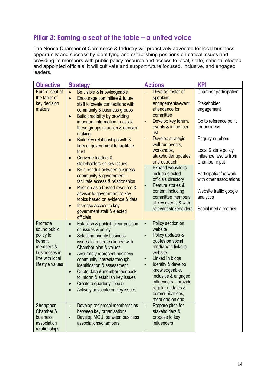### **Pillar 3: Earning a seat at the table – a united voice**

The Noosa Chamber of Commerce & Industry will proactively advocate for local business opportunity and success by identifying and establishing positions on critical issues and providing its members with public policy resource and access to local, state, national elected and appointed officials. It will cultivate and support future focused, inclusive, and engaged leaders.

| <b>Objective</b>                                                                                                                                                                            | <b>Strategy</b>                                                                                                                                                                                                                                                                                                                                                                                                                                                                                                                                                                                                                                                                                                                                  | <b>Actions</b>                                                                                                                                                                                                                                                                                                                                                                                                                                    | <b>KPI</b>                                                                                                                                                                                                                                                                                                  |
|---------------------------------------------------------------------------------------------------------------------------------------------------------------------------------------------|--------------------------------------------------------------------------------------------------------------------------------------------------------------------------------------------------------------------------------------------------------------------------------------------------------------------------------------------------------------------------------------------------------------------------------------------------------------------------------------------------------------------------------------------------------------------------------------------------------------------------------------------------------------------------------------------------------------------------------------------------|---------------------------------------------------------------------------------------------------------------------------------------------------------------------------------------------------------------------------------------------------------------------------------------------------------------------------------------------------------------------------------------------------------------------------------------------------|-------------------------------------------------------------------------------------------------------------------------------------------------------------------------------------------------------------------------------------------------------------------------------------------------------------|
| Earn a 'seat at<br>the table' of<br>key decision<br>makers                                                                                                                                  | Be visible & knowledgeable<br>$\bullet$<br>Encourage committee & future<br>$\bullet$<br>staff to create connections with<br>community & business groups<br>Build credibility by providing<br>$\bullet$<br>important information to assist<br>these groups in action & decision<br>making<br>Build key relationships with 3<br>$\bullet$<br>tiers of government to facilitate<br>trust<br>Convene leaders &<br>stakeholders on key issues<br>Be a conduit between business<br>$\bullet$<br>community & government -<br>facilitate access & relationships<br>Position as a trusted resource &<br>advisor to government re key<br>topics based on evidence & data<br>Increase access to key<br>$\bullet$<br>government staff & elected<br>officials | Develop roster of<br>speaking<br>engagements/event<br>attendance for<br>committee<br>Develop key forum,<br>events & influencer<br>list<br>Develop strategic<br>$\blacksquare$<br>well-run events,<br>workshops,<br>stakeholder updates,<br>and outreach<br>Expand website to<br>include elected<br>officials directory<br>Feature stories &<br>content including<br>committee members<br>at key events & with<br>relevant stakeholders            | Chamber participation<br>Stakeholder<br>engagement<br>Go to reference point<br>for business<br><b>Enquiry numbers</b><br>Local & state policy<br>influence results from<br>Chamber input<br>Participation/network<br>with other associations<br>Website traffic google<br>analytics<br>Social media metrics |
| Promote<br>sound public<br>policy to<br>benefit<br>members &<br>businesses in<br>line with local<br>lifestyle values<br>Strengthen<br>Chamber &<br>business<br>association<br>relationships | Establish & publish clear position<br>$\bullet$<br>on issues & policy<br>Selecting priority business<br>$\bullet$<br>issues to endorse aligned with<br>Chamber plan & values.<br>Accurately represent business<br>$\bullet$<br>community interests through<br>identification & assessment<br>Quote data & member feedback<br>$\bullet$<br>to inform & establish key issues<br>Create a quarterly Top 5<br>Actively advocate on key issues<br>Develop reciprocal memberships<br>÷,<br>between key organisations<br>Develop MOU between business<br>associations/chambers                                                                                                                                                                          | Policy section on<br>$\overline{\phantom{a}}$<br>website<br>Policy updates &<br>quotes on social<br>media with links to<br>website<br>Linked In blogs<br>$\overline{\phantom{a}}$<br>Identify & develop<br>٠<br>knowledgeable,<br>inclusive & engaged<br>influencers - provide<br>regular updates &<br>communications,<br>meet one on one<br>Prepare pitch for<br>$\qquad \qquad \blacksquare$<br>stakeholders &<br>propose to key<br>influencers |                                                                                                                                                                                                                                                                                                             |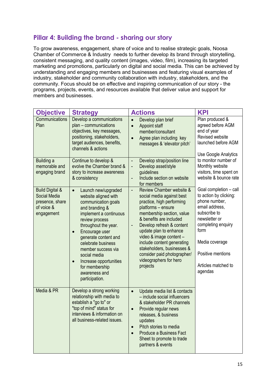### **Pillar 4: Building the brand - sharing our story**

To grow awareness, engagement, share of voice and to realise strategic goals, Noosa Chamber of Commerce & Industry needs to further develop its brand through storytelling, consistent messaging, and quality content (images, video, film), increasing its targeted marketing and promotions, particularly on digital and social media. This can be achieved by understanding and engaging members and businesses and featuring visual examples of industry, stakeholder and community collaboration with industry, stakeholders, and the community. Focus should be on effective and inspiring communication of our story - the programs, projects, events, and resources available that deliver value and support for members and businesses.

| <b>Objective</b>                                                                          | <b>Strategy</b>                                                                                                                                                                                                                                                                                                                                                                      | <b>Actions</b>                                                                                                                                                                                                                                                                                                                                                                                            | <b>KPI</b>                                                                                                                                                                                                                  |
|-------------------------------------------------------------------------------------------|--------------------------------------------------------------------------------------------------------------------------------------------------------------------------------------------------------------------------------------------------------------------------------------------------------------------------------------------------------------------------------------|-----------------------------------------------------------------------------------------------------------------------------------------------------------------------------------------------------------------------------------------------------------------------------------------------------------------------------------------------------------------------------------------------------------|-----------------------------------------------------------------------------------------------------------------------------------------------------------------------------------------------------------------------------|
| Communications<br>Plan                                                                    | Develop a communications<br>plan - communications<br>objectives, key messages,<br>positioning, stakeholders,<br>target audiences, benefits,<br>channels & actions                                                                                                                                                                                                                    | Develop plan brief<br>$\bullet$<br><b>Appoint staff</b><br>$\bullet$<br>member/consultant<br>Agree plan including key<br>$\bullet$<br>messages & 'elevator pitch'                                                                                                                                                                                                                                         | Plan produced &<br>agreed before AGM<br>end of year<br>Revised website<br>launched before AGM<br>Use Google Analytics                                                                                                       |
| Building a<br>memorable and<br>engaging brand                                             | Continue to develop &<br>evolve the Chamber brand &<br>story to increase awareness<br>& consistency                                                                                                                                                                                                                                                                                  | Develop strap/position line<br>$\overline{\phantom{a}}$<br>Develop asset/style<br>$\overline{\phantom{0}}$<br>guidelines<br>Include section on website<br>÷,<br>for members                                                                                                                                                                                                                               | to monitor number of<br>Monthly website<br>visitors, time spent on<br>website & bounce rate                                                                                                                                 |
| <b>Build Digital &amp;</b><br>Social Media<br>presence, share<br>of voice &<br>engagement | Launch new/upgraded<br>$\bullet$<br>website aligned with<br>communication goals<br>and branding &<br>implement a continuous<br>review process<br>throughout the year.<br>Encourage user<br>$\bullet$<br>generate content and<br>celebrate business<br>member success via<br>social media<br>Increase opportunities<br>$\bullet$<br>for membership<br>awareness and<br>participation. | Review Chamber website &<br>$\frac{1}{2}$<br>social media against best<br>practice, high performing<br>platforms - ensure<br>membership section, value<br>& benefits are included<br>Develop refresh & content<br>-<br>update plan to enhance<br>video & image content -<br>include content generating<br>stakeholders, businesses &<br>consider paid photographer/<br>videographers for hero<br>projects | Goal completion - call<br>to action by clicking:<br>phone number,<br>email address,<br>subscribe to<br>newsletter or<br>completing enquiry<br>form<br>Media coverage<br>Positive mentions<br>Articles matched to<br>agendas |
| Media & PR                                                                                | Develop a strong working<br>relationship with media to<br>establish a "go to" or<br>"top of mind" status for<br>interviews & information on<br>all business-related issues.                                                                                                                                                                                                          | Update media list & contacts<br>$\bullet$<br>- include social influencers<br>& stakeholder PR channels<br>Provide regular news<br>$\bullet$<br>releases, & business<br>updates<br>Pitch stories to media<br>$\bullet$<br>Produce a Business Fact<br>Sheet to promote to trade<br>partners & events                                                                                                        |                                                                                                                                                                                                                             |